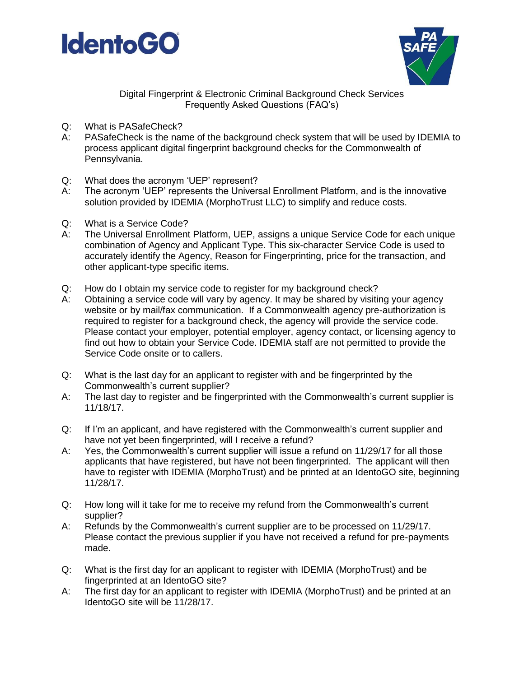



Digital Fingerprint & Electronic Criminal Background Check Services Frequently Asked Questions (FAQ's)

- Q: What is PASafeCheck?
- A: PASafeCheck is the name of the background check system that will be used by IDEMIA to process applicant digital fingerprint background checks for the Commonwealth of Pennsylvania.
- Q: What does the acronym 'UEP' represent?
- A: The acronym 'UEP' represents the Universal Enrollment Platform, and is the innovative solution provided by IDEMIA (MorphoTrust LLC) to simplify and reduce costs.
- Q: What is a Service Code?
- A: The Universal Enrollment Platform, UEP, assigns a unique Service Code for each unique combination of Agency and Applicant Type. This six-character Service Code is used to accurately identify the Agency, Reason for Fingerprinting, price for the transaction, and other applicant-type specific items.
- Q: How do I obtain my service code to register for my background check?
- A: Obtaining a service code will vary by agency. It may be shared by visiting your agency website or by mail/fax communication. If a Commonwealth agency pre-authorization is required to register for a background check, the agency will provide the service code. Please contact your employer, potential employer, agency contact, or licensing agency to find out how to obtain your Service Code. IDEMIA staff are not permitted to provide the Service Code onsite or to callers.
- Q: What is the last day for an applicant to register with and be fingerprinted by the Commonwealth's current supplier?
- A: The last day to register and be fingerprinted with the Commonwealth's current supplier is 11/18/17.
- Q: If I'm an applicant, and have registered with the Commonwealth's current supplier and have not yet been fingerprinted, will I receive a refund?
- A: Yes, the Commonwealth's current supplier will issue a refund on 11/29/17 for all those applicants that have registered, but have not been fingerprinted. The applicant will then have to register with IDEMIA (MorphoTrust) and be printed at an IdentoGO site, beginning 11/28/17.
- Q: How long will it take for me to receive my refund from the Commonwealth's current supplier?
- A: Refunds by the Commonwealth's current supplier are to be processed on 11/29/17. Please contact the previous supplier if you have not received a refund for pre-payments made.
- Q: What is the first day for an applicant to register with IDEMIA (MorphoTrust) and be fingerprinted at an IdentoGO site?
- A: The first day for an applicant to register with IDEMIA (MorphoTrust) and be printed at an IdentoGO site will be 11/28/17.